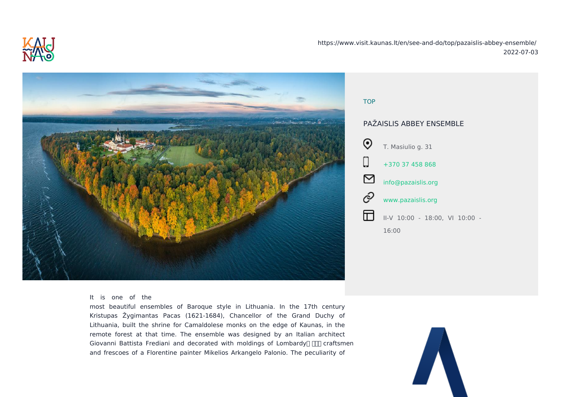https://www.visit.kau

TOP PA}AISLI T. Ma  $+370$ info@  $w \times w$ .  $II-V$ 16:00

## It is one of the

most beautiful ensembles of Baroque style in Lithuania. In the Kristupas }ygimantas Pacas (1621-1684), Chancellor of the Gran Lithuania, built the shrine for Camaldolese monks on the edge of Ka remote forest at that time. The ensemble was designed by an Ital Giovanni Battista Frediani and decorated with moldings of Lombardy and frescoes of a Florentine painter Mikelios Arkangelo Palonio. The